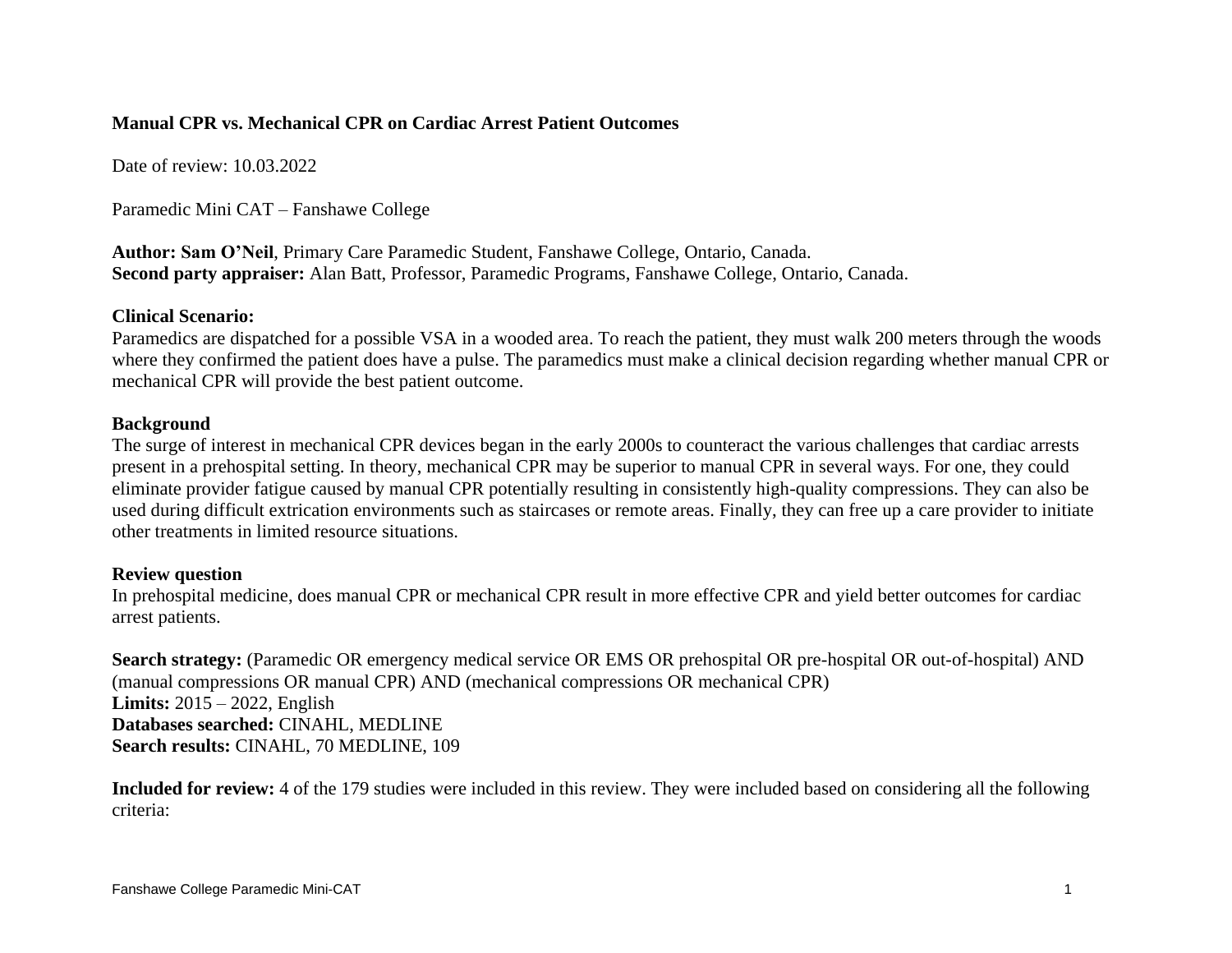## **Manual CPR vs. Mechanical CPR on Cardiac Arrest Patient Outcomes**

Date of review: 10.03.2022

Paramedic Mini CAT – Fanshawe College

**Author: Sam O'Neil**, Primary Care Paramedic Student, Fanshawe College, Ontario, Canada. **Second party appraiser:** Alan Batt, Professor, Paramedic Programs, Fanshawe College, Ontario, Canada.

## **Clinical Scenario:**

Paramedics are dispatched for a possible VSA in a wooded area. To reach the patient, they must walk 200 meters through the woods where they confirmed the patient does have a pulse. The paramedics must make a clinical decision regarding whether manual CPR or mechanical CPR will provide the best patient outcome.

## **Background**

The surge of interest in mechanical CPR devices began in the early 2000s to counteract the various challenges that cardiac arrests present in a prehospital setting. In theory, mechanical CPR may be superior to manual CPR in several ways. For one, they could eliminate provider fatigue caused by manual CPR potentially resulting in consistently high-quality compressions. They can also be used during difficult extrication environments such as staircases or remote areas. Finally, they can free up a care provider to initiate other treatments in limited resource situations.

## **Review question**

In prehospital medicine, does manual CPR or mechanical CPR result in more effective CPR and yield better outcomes for cardiac arrest patients.

**Search strategy:** (Paramedic OR emergency medical service OR EMS OR prehospital OR pre-hospital OR out-of-hospital) AND (manual compressions OR manual CPR) AND (mechanical compressions OR mechanical CPR) **Limits:** 2015 – 2022, English **Databases searched:** CINAHL, MEDLINE **Search results:** CINAHL, 70 MEDLINE, 109

**Included for review:** 4 of the 179 studies were included in this review. They were included based on considering all the following criteria: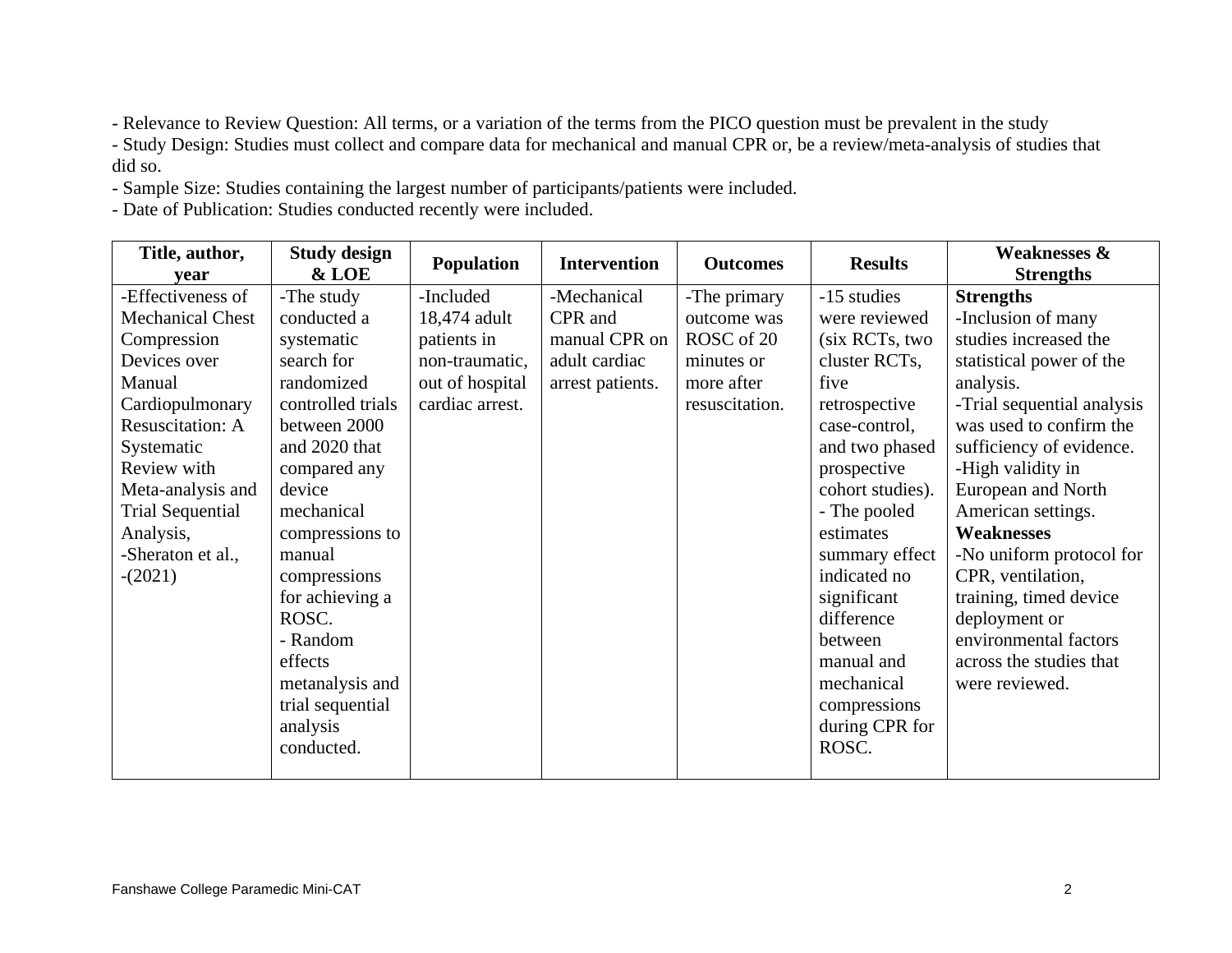- Relevance to Review Question: All terms, or a variation of the terms from the PICO question must be prevalent in the study

- Study Design: Studies must collect and compare data for mechanical and manual CPR or, be a review/meta-analysis of studies that did so.

- Sample Size: Studies containing the largest number of participants/patients were included.

- Date of Publication: Studies conducted recently were included.

| Title, author,          | <b>Study design</b> |                   |                     |                 |                  | <b>Weaknesses &amp;</b>    |
|-------------------------|---------------------|-------------------|---------------------|-----------------|------------------|----------------------------|
| vear                    | & LOE               | <b>Population</b> | <b>Intervention</b> | <b>Outcomes</b> | <b>Results</b>   | <b>Strengths</b>           |
| -Effectiveness of       | -The study          | -Included         | -Mechanical         | -The primary    | -15 studies      | <b>Strengths</b>           |
| <b>Mechanical Chest</b> | conducted a         | 18,474 adult      | CPR and             | outcome was     | were reviewed    | -Inclusion of many         |
| Compression             | systematic          | patients in       | manual CPR on       | ROSC of 20      | (six RCTs, two   | studies increased the      |
| Devices over            | search for          | non-traumatic,    | adult cardiac       | minutes or      | cluster RCTs,    | statistical power of the   |
| Manual                  | randomized          | out of hospital   | arrest patients.    | more after      | five             | analysis.                  |
| Cardiopulmonary         | controlled trials   | cardiac arrest.   |                     | resuscitation.  | retrospective    | -Trial sequential analysis |
| <b>Resuscitation: A</b> | between 2000        |                   |                     |                 | case-control,    | was used to confirm the    |
| Systematic              | and 2020 that       |                   |                     |                 | and two phased   | sufficiency of evidence.   |
| Review with             | compared any        |                   |                     |                 | prospective      | -High validity in          |
| Meta-analysis and       | device              |                   |                     |                 | cohort studies). | European and North         |
| <b>Trial Sequential</b> | mechanical          |                   |                     |                 | - The pooled     | American settings.         |
| Analysis,               | compressions to     |                   |                     |                 | estimates        | <b>Weaknesses</b>          |
| -Sheraton et al.,       | manual              |                   |                     |                 | summary effect   | -No uniform protocol for   |
| $-(2021)$               | compressions        |                   |                     |                 | indicated no     | CPR, ventilation,          |
|                         | for achieving a     |                   |                     |                 | significant      | training, timed device     |
|                         | ROSC.               |                   |                     |                 | difference       | deployment or              |
|                         | - Random            |                   |                     |                 | between          | environmental factors      |
|                         | effects             |                   |                     |                 | manual and       | across the studies that    |
|                         | metanalysis and     |                   |                     |                 | mechanical       | were reviewed.             |
|                         | trial sequential    |                   |                     |                 | compressions     |                            |
|                         | analysis            |                   |                     |                 | during CPR for   |                            |
|                         | conducted.          |                   |                     |                 | ROSC.            |                            |
|                         |                     |                   |                     |                 |                  |                            |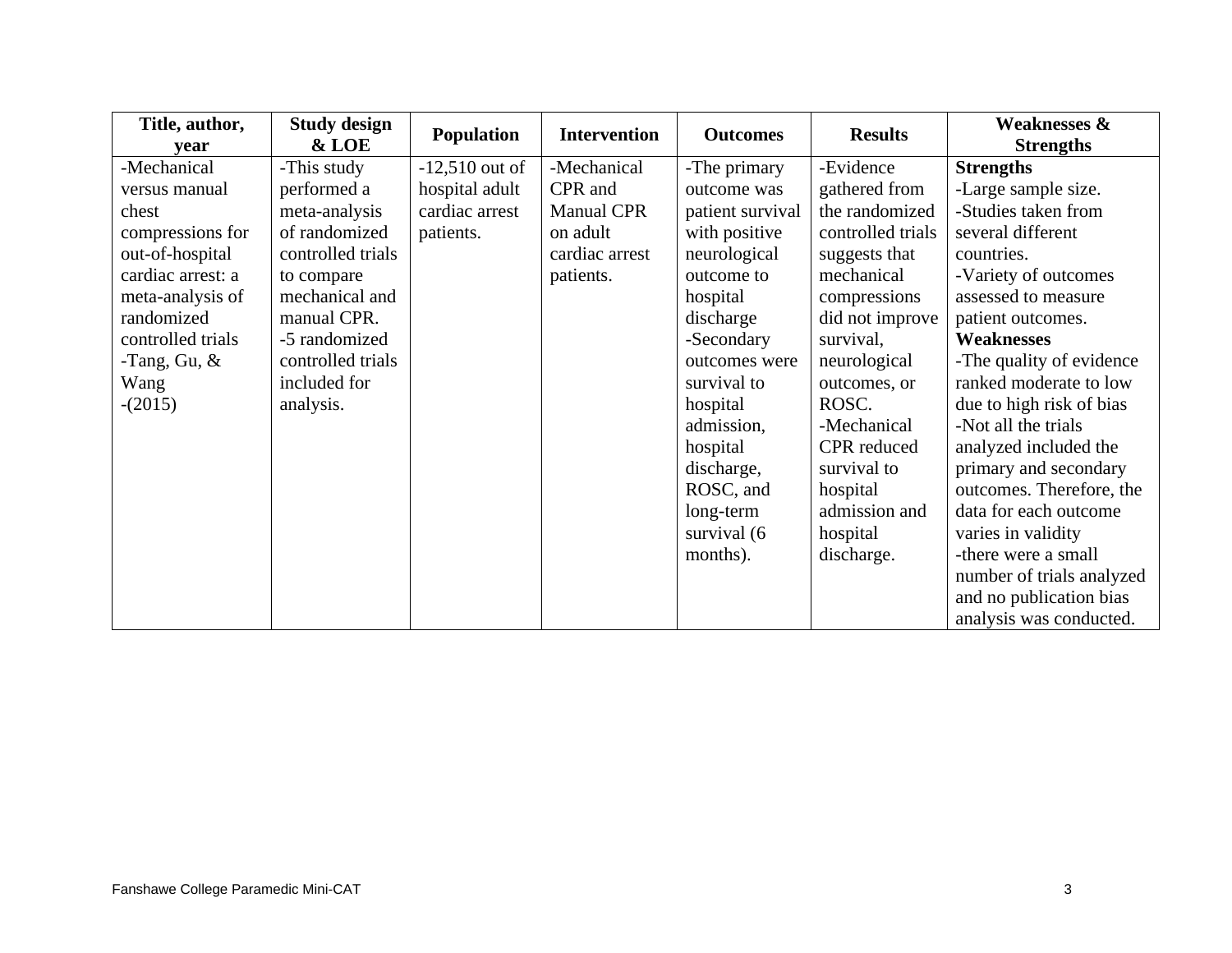| Title, author,    | <b>Study design</b> |                   |                     |                  |                   | <b>Weaknesses &amp;</b>   |  |
|-------------------|---------------------|-------------------|---------------------|------------------|-------------------|---------------------------|--|
| vear              | & LOE               | <b>Population</b> | <b>Intervention</b> | <b>Outcomes</b>  | <b>Results</b>    | <b>Strengths</b>          |  |
| -Mechanical       | -This study         | $-12,510$ out of  | -Mechanical         | -The primary     | -Evidence         | <b>Strengths</b>          |  |
| versus manual     | performed a         | hospital adult    | CPR and             | outcome was      | gathered from     | -Large sample size.       |  |
| chest             | meta-analysis       | cardiac arrest    | <b>Manual CPR</b>   | patient survival | the randomized    | -Studies taken from       |  |
| compressions for  | of randomized       | patients.         | on adult            | with positive    | controlled trials | several different         |  |
| out-of-hospital   | controlled trials   |                   | cardiac arrest      | neurological     | suggests that     | countries.                |  |
| cardiac arrest: a | to compare          |                   | patients.           | outcome to       | mechanical        | -Variety of outcomes      |  |
| meta-analysis of  | mechanical and      |                   |                     | hospital         | compressions      | assessed to measure       |  |
| randomized        | manual CPR.         |                   |                     | discharge        | did not improve   | patient outcomes.         |  |
| controlled trials | -5 randomized       |                   |                     | -Secondary       | survival,         | <b>Weaknesses</b>         |  |
| -Tang, Gu, $\&$   | controlled trials   |                   |                     | outcomes were    | neurological      | -The quality of evidence  |  |
| Wang              | included for        |                   |                     | survival to      | outcomes, or      | ranked moderate to low    |  |
| $-(2015)$         | analysis.           |                   |                     | hospital         | ROSC.             | due to high risk of bias  |  |
|                   |                     |                   |                     | admission,       | -Mechanical       | -Not all the trials       |  |
|                   |                     |                   |                     | hospital         | CPR reduced       | analyzed included the     |  |
|                   |                     |                   |                     | discharge,       | survival to       | primary and secondary     |  |
|                   |                     |                   |                     | ROSC, and        | hospital          | outcomes. Therefore, the  |  |
|                   |                     |                   |                     | long-term        | admission and     | data for each outcome     |  |
|                   |                     |                   |                     | survival (6      | hospital          | varies in validity        |  |
|                   |                     |                   |                     | months).         | discharge.        | -there were a small       |  |
|                   |                     |                   |                     |                  |                   | number of trials analyzed |  |
|                   |                     |                   |                     |                  |                   | and no publication bias   |  |
|                   |                     |                   |                     |                  |                   | analysis was conducted.   |  |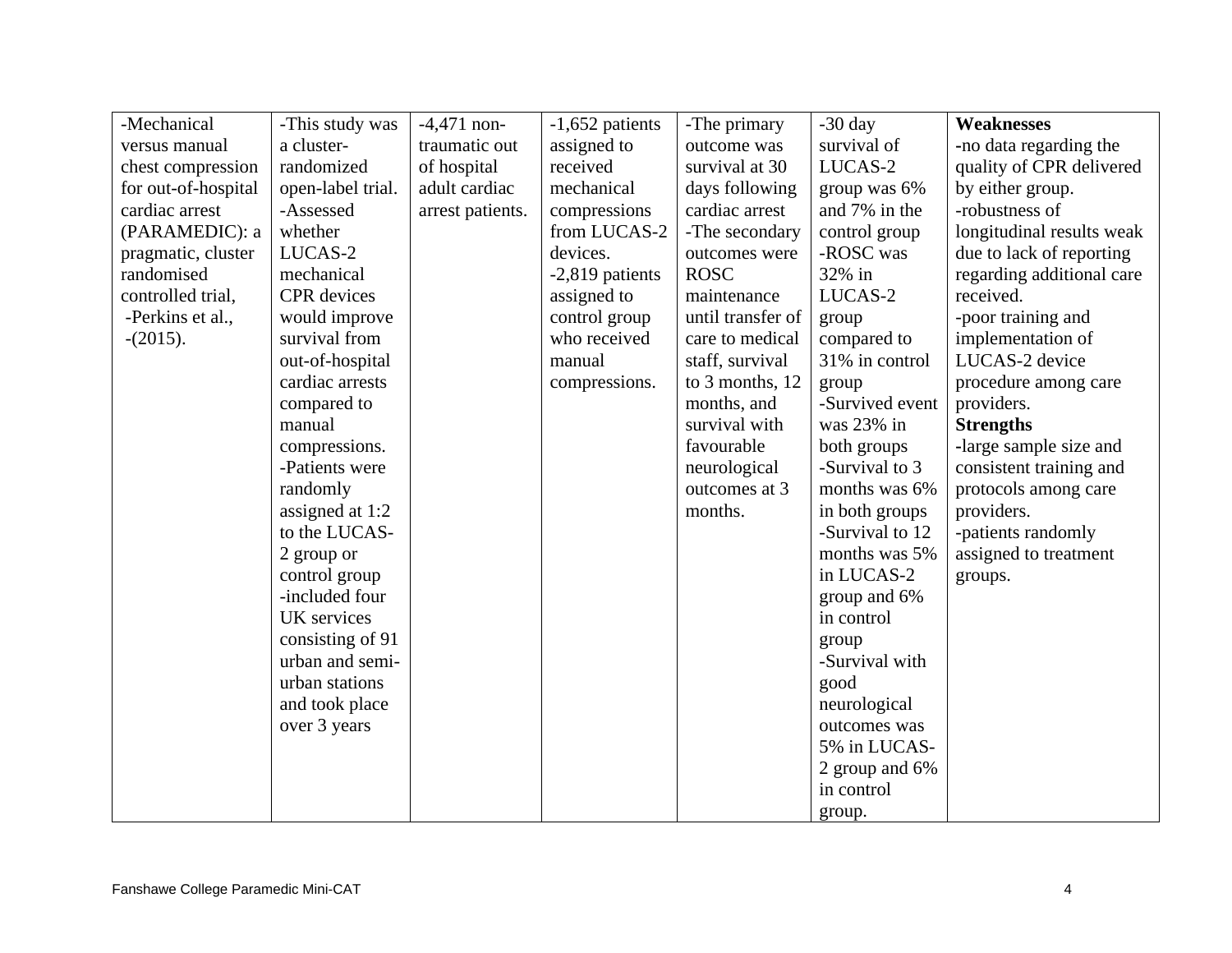| -Mechanical         | -This study was    | $-4,471$ non-    | $-1,652$ patients | -The primary      | $-30$ day       | <b>Weaknesses</b>         |
|---------------------|--------------------|------------------|-------------------|-------------------|-----------------|---------------------------|
| versus manual       | a cluster-         | traumatic out    | assigned to       | outcome was       | survival of     | -no data regarding the    |
| chest compression   | randomized         | of hospital      | received          | survival at 30    | LUCAS-2         | quality of CPR delivered  |
| for out-of-hospital | open-label trial.  | adult cardiac    | mechanical        | days following    | group was 6%    | by either group.          |
| cardiac arrest      | -Assessed          | arrest patients. | compressions      | cardiac arrest    | and 7% in the   | -robustness of            |
| (PARAMEDIC): a      | whether            |                  | from LUCAS-2      | -The secondary    | control group   | longitudinal results weak |
| pragmatic, cluster  | LUCAS-2            |                  | devices.          | outcomes were     | -ROSC was       | due to lack of reporting  |
| randomised          | mechanical         |                  | -2,819 patients   | <b>ROSC</b>       | 32% in          | regarding additional care |
| controlled trial,   | <b>CPR</b> devices |                  | assigned to       | maintenance       | LUCAS-2         | received.                 |
| -Perkins et al.,    | would improve      |                  | control group     | until transfer of | group           | -poor training and        |
| $-(2015).$          | survival from      |                  | who received      | care to medical   | compared to     | implementation of         |
|                     | out-of-hospital    |                  | manual            | staff, survival   | 31% in control  | LUCAS-2 device            |
|                     | cardiac arrests    |                  | compressions.     | to 3 months, 12   | group           | procedure among care      |
|                     | compared to        |                  |                   | months, and       | -Survived event | providers.                |
|                     | manual             |                  |                   | survival with     | was 23% in      | <b>Strengths</b>          |
|                     | compressions.      |                  |                   | favourable        | both groups     | -large sample size and    |
|                     | -Patients were     |                  |                   | neurological      | -Survival to 3  | consistent training and   |
|                     | randomly           |                  |                   | outcomes at 3     | months was 6%   | protocols among care      |
|                     | assigned at 1:2    |                  |                   | months.           | in both groups  | providers.                |
|                     | to the LUCAS-      |                  |                   |                   | -Survival to 12 | -patients randomly        |
|                     | 2 group or         |                  |                   |                   | months was 5%   | assigned to treatment     |
|                     | control group      |                  |                   |                   | in LUCAS-2      | groups.                   |
|                     | -included four     |                  |                   |                   | group and 6%    |                           |
|                     | UK services        |                  |                   |                   | in control      |                           |
|                     | consisting of 91   |                  |                   |                   | group           |                           |
|                     | urban and semi-    |                  |                   |                   | -Survival with  |                           |
|                     | urban stations     |                  |                   |                   | good            |                           |
|                     | and took place     |                  |                   |                   | neurological    |                           |
|                     | over 3 years       |                  |                   |                   | outcomes was    |                           |
|                     |                    |                  |                   |                   | 5% in LUCAS-    |                           |
|                     |                    |                  |                   |                   | 2 group and 6%  |                           |
|                     |                    |                  |                   |                   | in control      |                           |
|                     |                    |                  |                   |                   | group.          |                           |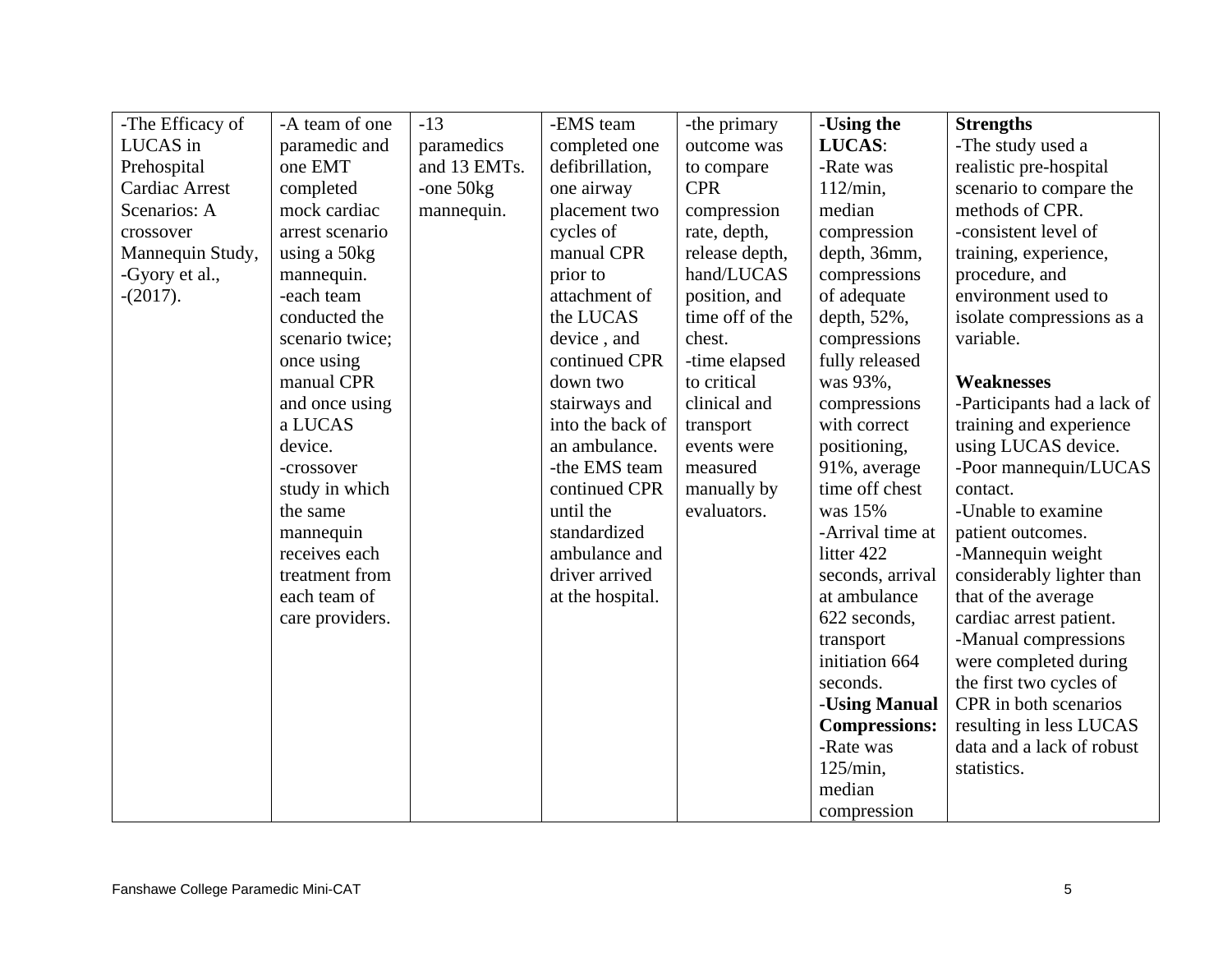| -The Efficacy of      | -A team of one  | $-13$        | -EMS team        | -the primary    | -Using the           | <b>Strengths</b>            |
|-----------------------|-----------------|--------------|------------------|-----------------|----------------------|-----------------------------|
| LUCAS in              | paramedic and   | paramedics   | completed one    | outcome was     | LUCAS:               | -The study used a           |
| Prehospital           | one EMT         | and 13 EMTs. | defibrillation,  | to compare      | -Rate was            | realistic pre-hospital      |
| <b>Cardiac Arrest</b> | completed       | -one $50kg$  | one airway       | <b>CPR</b>      | $112/min$ ,          | scenario to compare the     |
| Scenarios: A          | mock cardiac    | mannequin.   | placement two    | compression     | median               | methods of CPR.             |
| crossover             | arrest scenario |              | cycles of        | rate, depth,    | compression          | -consistent level of        |
| Mannequin Study,      | using a 50kg    |              | manual CPR       | release depth,  | depth, 36mm,         | training, experience,       |
| -Gyory et al.,        | mannequin.      |              | prior to         | hand/LUCAS      | compressions         | procedure, and              |
| $-(2017)$ .           | -each team      |              | attachment of    | position, and   | of adequate          | environment used to         |
|                       | conducted the   |              | the LUCAS        | time off of the | depth, 52%,          | isolate compressions as a   |
|                       | scenario twice; |              | device, and      | chest.          | compressions         | variable.                   |
|                       | once using      |              | continued CPR    | -time elapsed   | fully released       |                             |
|                       | manual CPR      |              | down two         | to critical     | was 93%,             | <b>Weaknesses</b>           |
|                       | and once using  |              | stairways and    | clinical and    | compressions         | -Participants had a lack of |
|                       | a LUCAS         |              | into the back of | transport       | with correct         | training and experience     |
|                       | device.         |              | an ambulance.    | events were     | positioning,         | using LUCAS device.         |
|                       | -crossover      |              | -the EMS team    | measured        | 91%, average         | -Poor mannequin/LUCAS       |
|                       | study in which  |              | continued CPR    | manually by     | time off chest       | contact.                    |
|                       | the same        |              | until the        | evaluators.     | was 15%              | -Unable to examine          |
|                       | mannequin       |              | standardized     |                 | -Arrival time at     | patient outcomes.           |
|                       | receives each   |              | ambulance and    |                 | litter 422           | -Mannequin weight           |
|                       | treatment from  |              | driver arrived   |                 | seconds, arrival     | considerably lighter than   |
|                       | each team of    |              | at the hospital. |                 | at ambulance         | that of the average         |
|                       | care providers. |              |                  |                 | 622 seconds,         | cardiac arrest patient.     |
|                       |                 |              |                  |                 | transport            | -Manual compressions        |
|                       |                 |              |                  |                 | initiation 664       | were completed during       |
|                       |                 |              |                  |                 | seconds.             | the first two cycles of     |
|                       |                 |              |                  |                 | -Using Manual        | CPR in both scenarios       |
|                       |                 |              |                  |                 | <b>Compressions:</b> | resulting in less LUCAS     |
|                       |                 |              |                  |                 | -Rate was            | data and a lack of robust   |
|                       |                 |              |                  |                 | 125/min,             | statistics.                 |
|                       |                 |              |                  |                 | median               |                             |
|                       |                 |              |                  |                 | compression          |                             |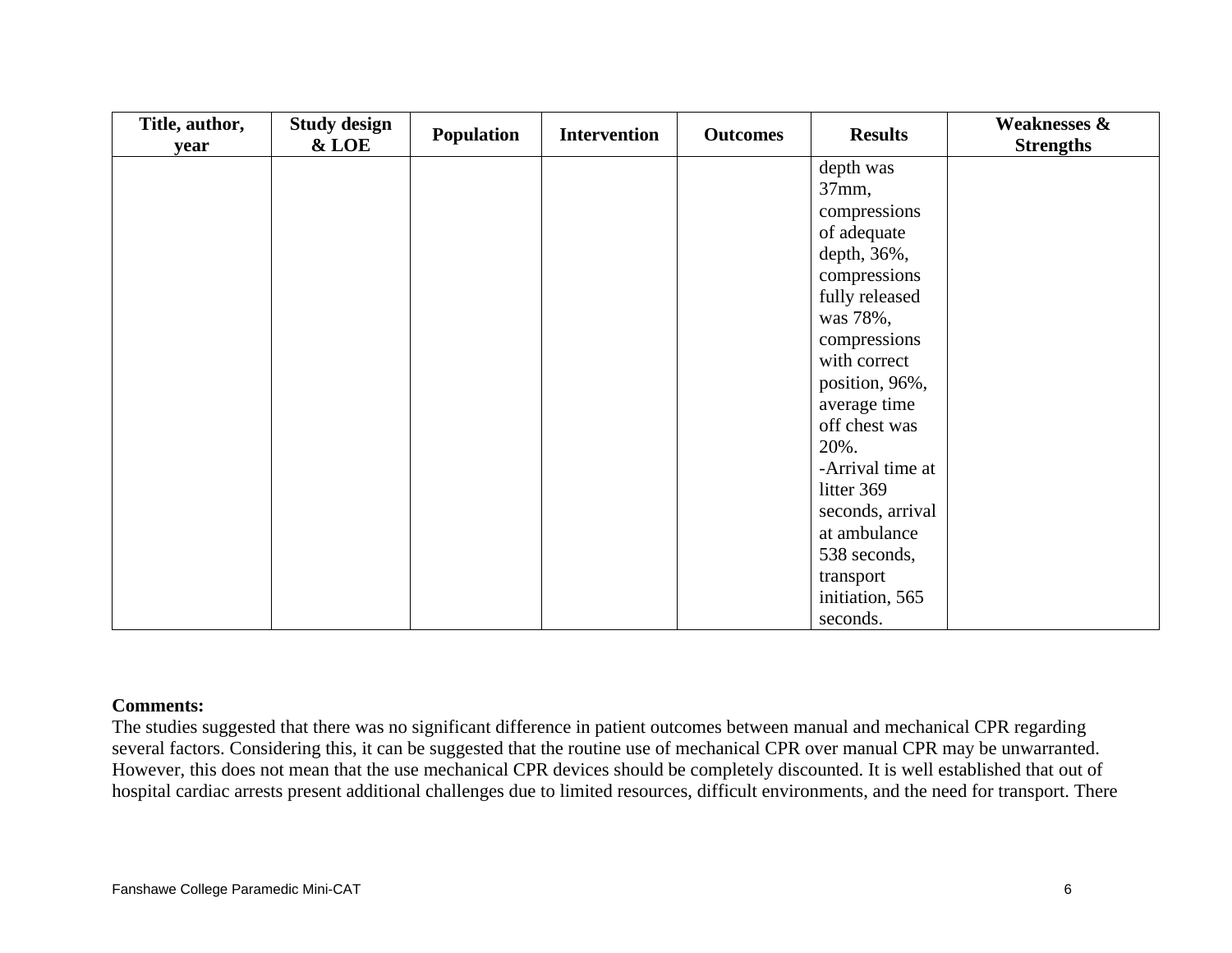| Title, author, | <b>Study design</b> |  | Population<br><b>Intervention</b> |  |                  | <b>Outcomes</b>  | <b>Results</b> | <b>Weaknesses &amp;</b> |
|----------------|---------------------|--|-----------------------------------|--|------------------|------------------|----------------|-------------------------|
| year           | & LOE               |  |                                   |  |                  | <b>Strengths</b> |                |                         |
|                |                     |  |                                   |  | depth was        |                  |                |                         |
|                |                     |  |                                   |  | 37mm,            |                  |                |                         |
|                |                     |  |                                   |  | compressions     |                  |                |                         |
|                |                     |  |                                   |  | of adequate      |                  |                |                         |
|                |                     |  |                                   |  | depth, 36%,      |                  |                |                         |
|                |                     |  |                                   |  | compressions     |                  |                |                         |
|                |                     |  |                                   |  | fully released   |                  |                |                         |
|                |                     |  |                                   |  | was 78%,         |                  |                |                         |
|                |                     |  |                                   |  | compressions     |                  |                |                         |
|                |                     |  |                                   |  | with correct     |                  |                |                         |
|                |                     |  |                                   |  | position, 96%,   |                  |                |                         |
|                |                     |  |                                   |  | average time     |                  |                |                         |
|                |                     |  |                                   |  | off chest was    |                  |                |                         |
|                |                     |  |                                   |  | 20%.             |                  |                |                         |
|                |                     |  |                                   |  | -Arrival time at |                  |                |                         |
|                |                     |  |                                   |  | litter 369       |                  |                |                         |
|                |                     |  |                                   |  | seconds, arrival |                  |                |                         |
|                |                     |  |                                   |  | at ambulance     |                  |                |                         |
|                |                     |  |                                   |  | 538 seconds,     |                  |                |                         |
|                |                     |  |                                   |  | transport        |                  |                |                         |
|                |                     |  |                                   |  | initiation, 565  |                  |                |                         |
|                |                     |  |                                   |  | seconds.         |                  |                |                         |

#### **Comments:**

The studies suggested that there was no significant difference in patient outcomes between manual and mechanical CPR regarding several factors. Considering this, it can be suggested that the routine use of mechanical CPR over manual CPR may be unwarranted. However, this does not mean that the use mechanical CPR devices should be completely discounted. It is well established that out of hospital cardiac arrests present additional challenges due to limited resources, difficult environments, and the need for transport. There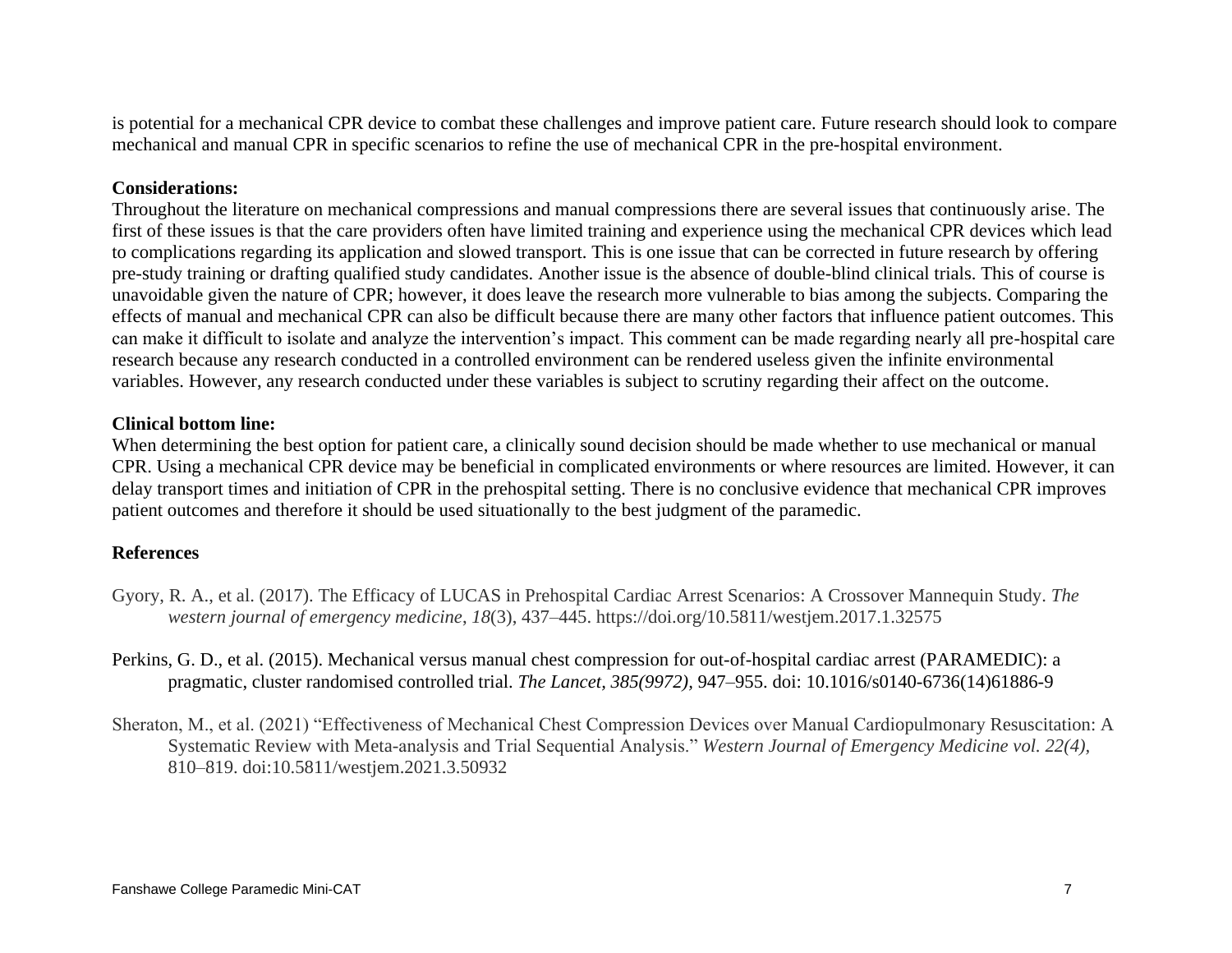is potential for a mechanical CPR device to combat these challenges and improve patient care. Future research should look to compare mechanical and manual CPR in specific scenarios to refine the use of mechanical CPR in the pre-hospital environment.

### **Considerations:**

Throughout the literature on mechanical compressions and manual compressions there are several issues that continuously arise. The first of these issues is that the care providers often have limited training and experience using the mechanical CPR devices which lead to complications regarding its application and slowed transport. This is one issue that can be corrected in future research by offering pre-study training or drafting qualified study candidates. Another issue is the absence of double-blind clinical trials. This of course is unavoidable given the nature of CPR; however, it does leave the research more vulnerable to bias among the subjects. Comparing the effects of manual and mechanical CPR can also be difficult because there are many other factors that influence patient outcomes. This can make it difficult to isolate and analyze the intervention's impact. This comment can be made regarding nearly all pre-hospital care research because any research conducted in a controlled environment can be rendered useless given the infinite environmental variables. However, any research conducted under these variables is subject to scrutiny regarding their affect on the outcome.

#### **Clinical bottom line:**

When determining the best option for patient care, a clinically sound decision should be made whether to use mechanical or manual CPR. Using a mechanical CPR device may be beneficial in complicated environments or where resources are limited. However, it can delay transport times and initiation of CPR in the prehospital setting. There is no conclusive evidence that mechanical CPR improves patient outcomes and therefore it should be used situationally to the best judgment of the paramedic.

## **References**

- Gyory, R. A., et al. (2017). The Efficacy of LUCAS in Prehospital Cardiac Arrest Scenarios: A Crossover Mannequin Study. *The western journal of emergency medicine*, *18*(3), 437–445. https://doi.org/10.5811/westjem.2017.1.32575
- Perkins, G. D., et al. (2015). Mechanical versus manual chest compression for out-of-hospital cardiac arrest (PARAMEDIC): a pragmatic, cluster randomised controlled trial. *The Lancet, 385(9972),* 947–955. doi: 10.1016/s0140-6736(14)61886-9
- Sheraton, M., et al. (2021) "Effectiveness of Mechanical Chest Compression Devices over Manual Cardiopulmonary Resuscitation: A Systematic Review with Meta-analysis and Trial Sequential Analysis." *Western Journal of Emergency Medicine vol. 22(4),* 810–819. doi:10.5811/westjem.2021.3.50932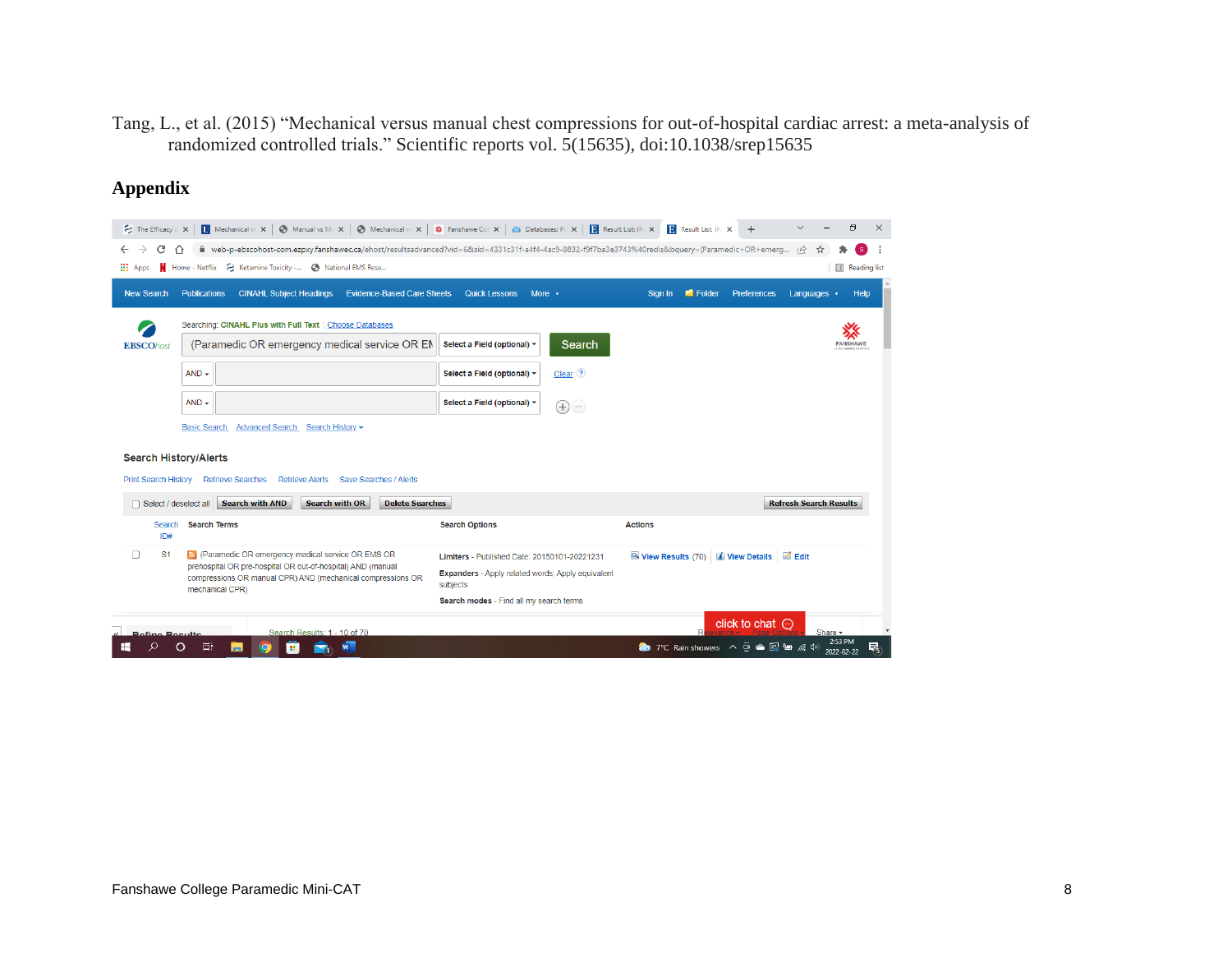Tang, L., et al. (2015) "Mechanical versus manual chest compressions for out-of-hospital cardiac arrest: a meta-analysis of randomized controlled trials." Scientific reports vol. 5(15635), doi:10.1038/srep15635

# **Appendix**

| $\mathbf{S}$ The Efficacy $\circ$ X | $\overline{\mathbf{L}}$ Mechanical ve $\mathbf{x}$ |                                                                                                                                                  | ◯ Manual vs Me X   ◯ Mechanical ve X   ※ Fanshawe Col X   ● Databases: Pu X |                                                               |                                                                                                   | <b>D</b> Result List: (Pa X                           | <b>B</b> Result List: (Pax | $+$                          |                               | σ                     | $\times$ |
|-------------------------------------|----------------------------------------------------|--------------------------------------------------------------------------------------------------------------------------------------------------|-----------------------------------------------------------------------------|---------------------------------------------------------------|---------------------------------------------------------------------------------------------------|-------------------------------------------------------|----------------------------|------------------------------|-------------------------------|-----------------------|----------|
| C<br>→<br>$\leftarrow$              | ↶                                                  | n web-p-ebscohost-com.ezpxy.fanshawec.ca/ehost/resultsadvanced?vid=6&sid=4331c31f-a4f4-4ac9-8832-f9f7ba3e3743%40redis&bquery=(Paramedic+OR+emerg |                                                                             |                                                               |                                                                                                   |                                                       |                            |                              | $\overrightarrow{P}$<br>☆     | (S)                   |          |
| <b>III</b> Apps                     | Home - Netflix                                     | & Ketamine Toxicity -<br>B National EMS Rese                                                                                                     |                                                                             |                                                               |                                                                                                   |                                                       |                            |                              |                               | <b>E</b> Reading list |          |
| <b>New Search</b>                   | <b>Publications</b>                                | <b>CINAHL Subject Headings</b>                                                                                                                   | <b>Evidence-Based Care Sheets</b>                                           | <b>Quick Lessons</b>                                          | More v                                                                                            | Sign In                                               | Folder                     | <b>Preferences</b>           | Languages $\rightarrow$       | Help                  |          |
|                                     |                                                    | Searching: CINAHL Plus with Full Text   Choose Databases                                                                                         |                                                                             |                                                               |                                                                                                   |                                                       |                            |                              |                               |                       |          |
| <b>EBSCOhost</b>                    |                                                    | (Paramedic OR emergency medical service OR EM                                                                                                    |                                                                             | Select a Field (optional) -                                   | <b>Search</b>                                                                                     |                                                       |                            |                              |                               | <b>FANSHAWE</b>       |          |
|                                     | $AND -$                                            |                                                                                                                                                  |                                                                             | Select a Field (optional) -                                   | $Clear$ $\Omega$                                                                                  |                                                       |                            |                              |                               |                       |          |
|                                     | $AND -$                                            |                                                                                                                                                  |                                                                             | Select a Field (optional) -                                   | $\left( \begin{matrix} + \end{matrix} \right)$<br>$(\mathord{\hspace{1pt}\text{--}\hspace{1pt}})$ |                                                       |                            |                              |                               |                       |          |
|                                     | <b>Basic Search</b>                                | <b>Advanced Search</b><br>Search History -                                                                                                       |                                                                             |                                                               |                                                                                                   |                                                       |                            |                              |                               |                       |          |
|                                     | <b>Search History/Alerts</b>                       |                                                                                                                                                  |                                                                             |                                                               |                                                                                                   |                                                       |                            |                              |                               |                       |          |
| <b>Print Search History</b>         | <b>Retrieve Searches</b>                           | <b>Retrieve Alerts</b>                                                                                                                           | Save Searches / Alerts                                                      |                                                               |                                                                                                   |                                                       |                            |                              |                               |                       |          |
|                                     | Select / deselect all                              | <b>Search with AND</b><br><b>Search with OR</b>                                                                                                  | <b>Delete Searches</b>                                                      |                                                               |                                                                                                   |                                                       |                            |                              | <b>Refresh Search Results</b> |                       |          |
| Search<br>ID#                       | <b>Search Terms</b>                                |                                                                                                                                                  |                                                                             | <b>Search Options</b>                                         |                                                                                                   | <b>Actions</b>                                        |                            |                              |                               |                       |          |
| S <sub>1</sub><br>□                 |                                                    | R (Paramedic OR emergency medical service OR EMS OR                                                                                              |                                                                             | Limiters - Published Date: 20150101-20221231                  |                                                                                                   | View Results (70) <i>i</i> View Details <b>d</b> Edit |                            |                              |                               |                       |          |
|                                     |                                                    | prehospital OR pre-hospital OR out-of-hospital) AND (manual<br>compressions OR manual CPR) AND (mechanical compressions OR                       |                                                                             | Expanders - Apply related words; Apply equivalent<br>subjects |                                                                                                   |                                                       |                            |                              |                               |                       |          |
|                                     | mechanical CPR)                                    |                                                                                                                                                  |                                                                             | Search modes - Find all my search terms                       |                                                                                                   |                                                       |                            |                              |                               |                       |          |
| <b>Pofino Populto</b>               |                                                    | Search Results: 1 - 10 of 70                                                                                                                     |                                                                             |                                                               |                                                                                                   |                                                       | $\mathsf{D}$               | click to chat $\odot$        |                               | Share -               |          |
|                                     | Ξi                                                 | m.                                                                                                                                               | W                                                                           |                                                               |                                                                                                   |                                                       |                            | ◆ 7°C Rain showers へ □ ● 图 ● | 后(3)                          | 2:53 PM<br>2022-02-22 | 垦        |